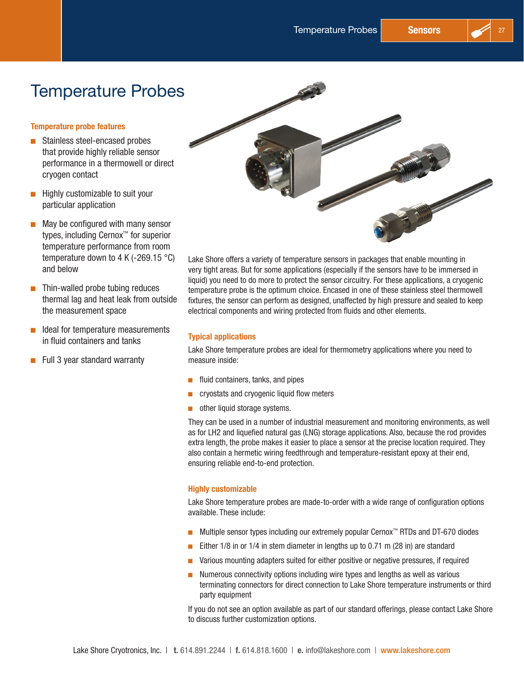# Temperature Probes

### Temperature probe features

- Stainless steel-encased probes that provide highly reliable sensor performance in a thermowell or direct cryogen contact
- $\blacksquare$  Highly customizable to suit your particular application
- $\blacksquare$  May be configured with many sensor types, including Cernox™ for superior temperature performance from room temperature down to 4 K (-269.15  $^{\circ}$ C) and below
- $\blacksquare$  Thin-walled probe tubing reduces thermal lag and heat leak from outside the measurement space
- $\blacksquare$  Ideal for temperature measurements in fluid containers and tanks
- $\blacksquare$  Full 3 year standard warranty



Lake Shore offers a variety of temperature sensors in packages that enable mounting in very tight areas. But for some applications (especially if the sensors have to be immersed in liquid) you need to do more to protect the sensor circuitry. For these applications, a cryogenic temperature probe is the optimum choice. Encased in one of these stainless steel thermowell fixtures, the sensor can perform as designed, unaffected by high pressure and sealed to keep electrical components and wiring protected from fluids and other elements.

# Typical applications

Lake Shore temperature probes are ideal for thermometry applications where you need to measure inside:

- $\blacksquare$  fluid containers, tanks, and pipes
- $\blacksquare$  cryostats and cryogenic liquid flow meters
- $\blacksquare$  other liquid storage systems.

They can be used in a number of industrial measurement and monitoring environments, as well as for LH2 and liquefied natural gas (LNG) storage applications. Also, because the rod provides extra length, the probe makes it easier to place a sensor at the precise location required. They also contain a hermetic wiring feedthrough and temperature-resistant epoxy at their end, ensuring reliable end-to-end protection.

#### Highly customizable

Lake Shore temperature probes are made-to-order with a wide range of configuration options available. These include:

- Multiple sensor types including our extremely popular Cernox™ RTDs and DT-670 diodes
- Either  $1/8$  in or  $1/4$  in stem diameter in lengths up to 0.71 m (28 in) are standard
- D Various mounting adapters suited for either positive or negative pressures, if required
- **D** Numerous connectivity options including wire types and lengths as well as various terminating connectors for direct connection to Lake Shore temperature instruments or third party equipment

If you do not see an option available as part of our standard offerings, please contact Lake Shore to discuss further customization options.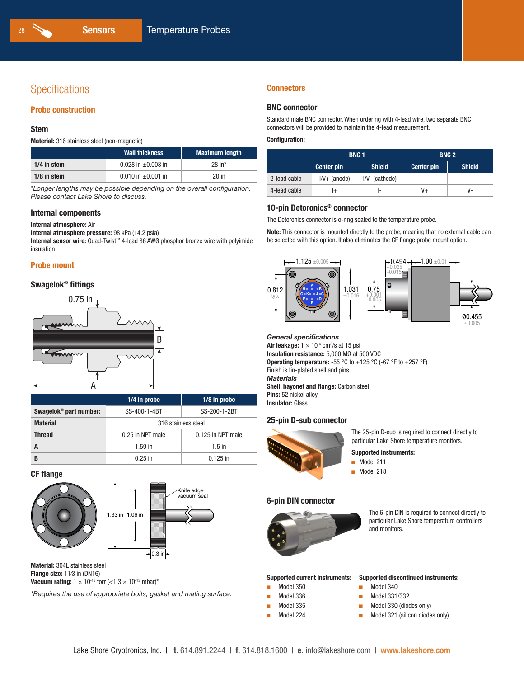# **Specifications**

#### Probe construction

#### Stem

Material: 316 stainless steel (non-magnetic)

|               | <b>Wall thickness</b>   | <b>Maximum length</b> |
|---------------|-------------------------|-----------------------|
| 1/4 in stem   | 0.028 in $\pm$ 0.003 in | $28$ in <sup>*</sup>  |
| $1/8$ in stem | 0.010 in $\pm$ 0.001 in | $20$ in               |

*\*Longer lengths may be possible depending on the overall configuration. Please contact Lake Shore to discuss.*

#### Internal components

Internal atmosphere: Air

Internal atmosphere pressure: 98 kPa (14.2 psia)

Internal sensor wire: Quad-Twist™ 4-lead 36 AWG phosphor bronze wire with polyimide insulation

#### Probe mount

#### Swagelok® fittings



|                                    | 1/4 in probe                 | $1/8$ in probe    |  |
|------------------------------------|------------------------------|-------------------|--|
| Swagelok <sup>®</sup> part number: | SS-400-1-4BT<br>SS-200-1-2BT |                   |  |
| <b>Material</b>                    | 316 stainless steel          |                   |  |
| <b>Thread</b>                      | 0.25 in NPT male             | 0.125 in NPT male |  |
|                                    | $1.59$ in                    | $1.5$ in          |  |
| B                                  | $0.25$ in                    | $0.125$ in        |  |

#### CF flange





Material: 304L stainless steel Flange size: 11⁄3 in (DN16) Vacuum rating:  $1 \times 10^{-13}$  torr (<1.3  $\times$  10<sup>-13</sup> mbar)\*

*\*Requires the use of appropriate bolts, gasket and mating surface.*

#### **Connectors**

#### BNC connector

Standard male BNC connector. When ordering with 4-lead wire, two separate BNC connectors will be provided to maintain the 4-lead measurement.

#### Configuration:

|              | <b>BNC1</b>                        |                  |                   | <b>BNC 2</b>  |
|--------------|------------------------------------|------------------|-------------------|---------------|
|              | <b>Shield</b><br><b>Center pin</b> |                  | <b>Center pin</b> | <b>Shield</b> |
| 2-lead cable | $I/V+$ (anode)                     | $IV - (cathode)$ |                   | _             |
| 4-lead cable | l+                                 |                  | V+                | v-            |

### 10-pin Detoronics® connector

The Detoronics connector is o-ring sealed to the temperature probe.

Note: This connector is mounted directly to the probe, meaning that no external cable can be selected with this option. It also eliminates the CF flange probe mount option.



#### *General specifications*

Air leakage:  $1 \times 10^{5}$  cm<sup>3</sup>/s at 15 psi Insulation resistance: 5,000 MΩ at 500 VDC **Operating temperature:** -55 °C to +125 °C (-67 °F to +257 °F) Finish is tin-plated shell and pins. *Materials* Shell, bayonet and flange: Carbon steel Pins: 52 nickel alloy **Insulator: Glass** 

#### 25-pin D-sub connector



The 25-pin D-sub is required to connect directly to particular Lake Shore temperature monitors.

#### Supported instruments:

- $\blacksquare$  Model 211
- **Model 218**



The 6-pin DIN is required to connect directly to particular Lake Shore temperature controllers and monitors.

#### Supported current instruments:

- Model 350
- Model 336
- Model 335
- $\blacksquare$  Model 224
- Supported discontinued instruments:
- $MO$  Model 340
- **D** Model 331/332
- $\blacksquare$  Model 330 (diodes only)
- $\blacksquare$  Model 321 (silicon diodes only)



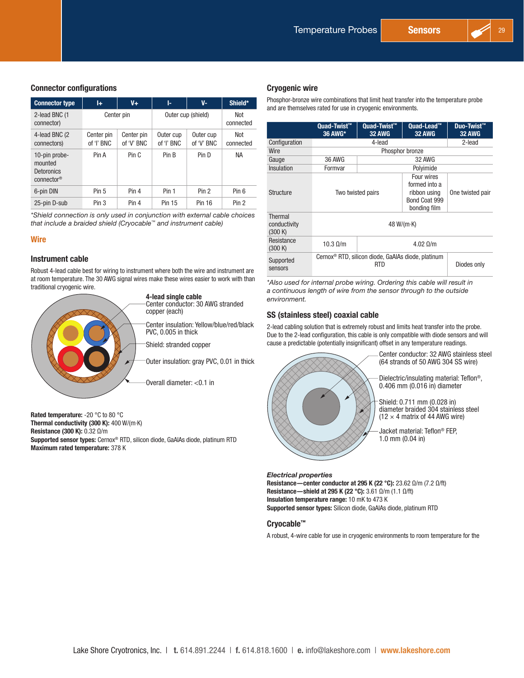#### Connector configurations

| <b>Connector type</b>                                                   | l+                       | $V +$                    | ŀ.                      | V-                      | Shield*          |
|-------------------------------------------------------------------------|--------------------------|--------------------------|-------------------------|-------------------------|------------------|
| 2-lead BNC (1<br>connector)                                             |                          | Center pin               |                         | Outer cup (shield)      | Not<br>connected |
| 4-lead BNC (2<br>connectors)                                            | Center pin<br>of 'I' BNC | Center pin<br>of 'V' BNC | Outer cup<br>of 'I' BNC | Outer cup<br>of 'V' BNC | Not<br>connected |
| 10-pin probe-<br>mounted<br><b>Detoronics</b><br>connector <sup>®</sup> | Pin A                    | Pin C                    | Pin B                   | Pin D                   | <b>NA</b>        |
| 6-pin DIN                                                               | Pin 5                    | Pin 4                    | Pin 1                   | Pin 2                   | Pin 6            |
| 25-pin D-sub                                                            | Pin <sub>3</sub>         | Pin 4                    | Pin 15                  | <b>Pin 16</b>           | Pin 2            |

*\*Shield connection is only used in conjunction with external cable choices that include a braided shield (Cryocable™ and instrument cable)*

#### **Wire**

#### Instrument cable

Robust 4-lead cable best for wiring to instrument where both the wire and instrument are at room temperature. The 30 AWG signal wires make these wires easier to work with than traditional cryogenic wire.



Rated temperature: -20 °C to 80 °C Thermal conductivity (300 K): 400 W/(m·K) Resistance (300 K): 0.32 Ω/m Supported sensor types: Cernox® RTD, silicon diode, GaAlAs diode, platinum RTD Maximum rated temperature: 378 K

#### Cryogenic wire

Phosphor-bronze wire combinations that limit heat transfer into the temperature probe and are themselves rated for use in cryogenic environments.

|                                    | Quad-Twist™<br>36 AWG* | <b>Quad-Twist™</b><br><b>32 AWG</b>                                                               | Quad-Lead™<br><b>32 AWG</b> | Duo-Twist™<br><b>32 AWG</b> |
|------------------------------------|------------------------|---------------------------------------------------------------------------------------------------|-----------------------------|-----------------------------|
| Configuration                      |                        | 4-lead                                                                                            |                             | 2-lead                      |
| Wire                               |                        | Phosphor bronze                                                                                   |                             |                             |
| Gauge                              | <b>36 AWG</b>          |                                                                                                   | <b>32 AWG</b>               |                             |
| Insulation                         | Formvar                |                                                                                                   | Polyimide                   |                             |
| Structure                          |                        | Four wires<br>formed into a<br>Two twisted pairs<br>ribbon using<br>Bond Coat 999<br>bonding film |                             | One twisted pair            |
| Thermal<br>conductivity<br>(300 K) |                        | 48 W/( $m-K$ )                                                                                    |                             |                             |
| Resistance<br>(300 K)              | $10.3 \Omega/m$        | $4.02 \Omega/m$                                                                                   |                             |                             |
| Supported<br>sensors               |                        | Cernox <sup>®</sup> RTD, silicon diode, GaAlAs diode, platinum<br><b>RTD</b><br>Diodes only       |                             |                             |

*\*Also used for internal probe wiring. Ordering this cable will result in a continuous length of wire from the sensor through to the outside environment.*

#### SS (stainless steel) coaxial cable

2-lead cabling solution that is extremely robust and limits heat transfer into the probe. Due to the 2-lead configuration, this cable is only compatible with diode sensors and will cause a predictable (potentially insignificant) offset in any temperature readings.



*Electrical properties* Resistance—center conductor at 295 K (22 °C): 23.62 Ω/m (7.2 Ω/ft) Resistance—shield at 295 K (22 °C): 3.61 Ω/m (1.1 Ω/ft) Insulation temperature range: 10 mK to 473 K Supported sensor types: Silicon diode, GaAlAs diode, platinum RTD

#### Cryocable™

A robust, 4-wire cable for use in cryogenic environments to room temperature for the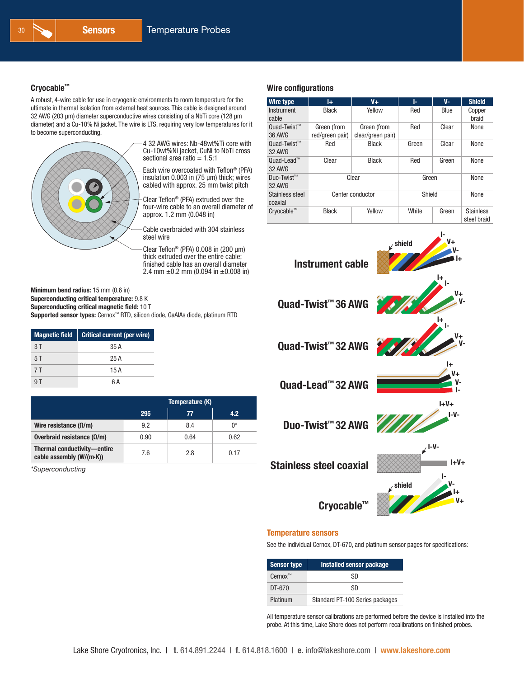#### Cryocable™

A robust, 4-wire cable for use in cryogenic environments to room temperature for the ultimate in thermal isolation from external heat sources. This cable is designed around 32 AWG (203 µm) diameter superconductive wires consisting of a NbTi core (128 µm diameter) and a Cu-10% Ni jacket. The wire is LTS, requiring very low temperatures for it to become superconducting.



4 32 AWG wires: Nb-48wt%Ti core with Cu-10wt%Ni jacket, CuNi to NbTi cross sectional area ratio  $= 1.5:1$ 

Each wire overcoated with Teflon® (PFA) insulation 0.003 in (75 µm) thick; wires cabled with approx. 25 mm twist pitch

Clear Teflon® (PFA) extruded over the four-wire cable to an overall diameter of approx. 1.2 mm (0.048 in)

Cable overbraided with 304 stainless steel wire

Clear Teflon<sup>®</sup> (PFA)  $0.008$  in (200  $\mu$ m) thick extruded over the entire cable; finished cable has an overall diameter 2.4 mm  $\pm$ 0.2 mm (0.094 in  $\pm$ 0.008 in)

Minimum bend radius: 15 mm (0.6 in) Superconducting critical temperature: 9.8 K Superconducting critical magnetic field: 10 T Supported sensor types: Cernox™ RTD, silicon diode, GaAlAs diode, platinum RTD

| <b>Magnetic field</b> | Critical current (per wire) |
|-----------------------|-----------------------------|
| 3T                    | 35 A                        |
| 5T                    | 25 A                        |
| 7 T                   | 15A                         |
|                       | 6 Δ                         |

|                                                         | Temperature (K) |      |      |
|---------------------------------------------------------|-----------------|------|------|
|                                                         | 295             | 77   | 4.2  |
| Wire resistance ( $\Omega/m$ )                          | 9.2             | 8.4  | ∩*   |
| Overbraid resistance ( $Ω/m$ )                          | 0.90            | 0.64 | 0.62 |
| Thermal conductivity-entire<br>cable assembly (W/(m-K)) | 7.6             | 28   | 0.17 |

*\*Superconducting*

#### Wire configurations

| <b>Wire type</b>               | Ĩ÷                             | $V +$                            | ŀ.     | $V -$ | <b>Shield</b>                   |
|--------------------------------|--------------------------------|----------------------------------|--------|-------|---------------------------------|
| Instrument<br>cable            | <b>Black</b>                   | Yellow                           | Red    | Blue  | Copper<br>braid                 |
| $Quad-Twist^{m}$<br>36 AWG     | Green (from<br>red/green pair) | Green (from<br>clear/green pair) | Red    | Clear | None                            |
| Quad-Twist™<br><b>32 AWG</b>   | Red                            | <b>Black</b>                     | Green  | Clear | None                            |
| $Quad-Lead^m$<br><b>32 AWG</b> | Clear                          | <b>Black</b>                     | Red    | Green | None                            |
| Duo-Twist™<br><b>32 AWG</b>    | Clear                          |                                  | Green  |       | None                            |
| Stainless steel<br>coaxial     | Center conductor               |                                  | Shield |       | None                            |
| Cryocable™                     | <b>Black</b>                   | Yellow                           | White  | Green | <b>Stainless</b><br>steel braid |



#### Temperature sensors

See the individual Cernox, DT-670, and platinum sensor pages for specifications:

| <b>Sensor type</b> | <b>Installed sensor package</b> |
|--------------------|---------------------------------|
| $Cernox^m$         | <b>SD</b>                       |
| DT-670             | .SD                             |
| Platinum           | Standard PT-100 Series packages |

All temperature sensor calibrations are performed before the device is installed into the probe. At this time, Lake Shore does not perform recalibrations on finished probes.